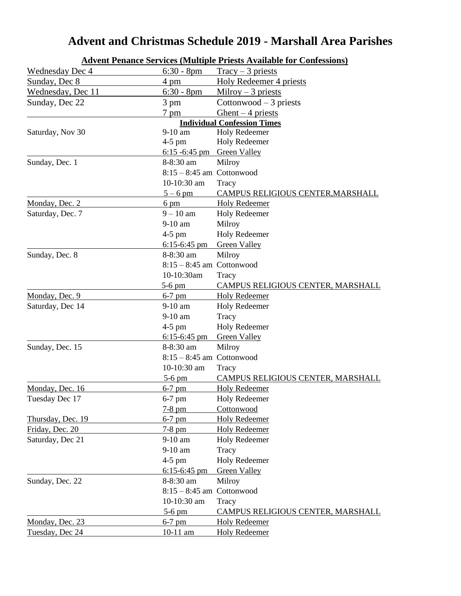#### **Advent Penance Services (Multiple Priests Available for Confessions)** Wednesday Dec 4 6:30 - 8pm  $Tracy - 3 \text{ priests}$ Sunday, Dec 8 4 pm Holy Redeemer 4 priests Wednesday, Dec 11  $6:30 - 8pm$  Milroy – 3 priests Sunday, Dec  $22$  3 pm Cottonwood – 3 priests 7 pm Ghent – 4 priests **Individual Confession Times** Saturday, Nov 30 9-10 am Holy Redeemer 4-5 pm Holy Redeemer 6:15 -6:45 pm Green Valley Sunday, Dec. 1 8-8:30 am Milroy 8:15 – 8:45 am Cottonwood 10-10:30 am Tracy 5 – 6 pm CAMPUS RELIGIOUS CENTER,MARSHALL Monday, Dec. 2 6 pm Holy Redeemer Saturday, Dec. 7  $9 - 10$  am Holy Redeemer 9-10 am Milroy 4-5 pm Holy Redeemer 6:15-6:45 pm Green Valley Sunday, Dec. 8 8-8:30 am Milroy 8:15 – 8:45 am Cottonwood 10-10:30am Tracy 5-6 pm CAMPUS RELIGIOUS CENTER, MARSHALL Monday, Dec. 9 6-7 pm Holy Redeemer Saturday, Dec 14 9-10 am Holy Redeemer 9-10 am Tracy 4-5 pm Holy Redeemer 6:15-6:45 pm Green Valley Sunday, Dec. 15 8-8:30 am Milroy 8:15 – 8:45 am Cottonwood 10-10:30 am Tracy 5-6 pm CAMPUS RELIGIOUS CENTER, MARSHALL Monday, Dec. 16 6-7 pm Holy Redeemer Tuesday Dec 17 6-7 pm Holy Redeemer 7-8 pm Cottonwood Thursday, Dec. 19 6-7 pm Holy Redeemer Friday, Dec. 20 7-8 pm Holy Redeemer Saturday, Dec 21 9-10 am Holy Redeemer 9-10 am Tracy 4-5 pm Holy Redeemer 6:15-6:45 pm Green Valley Sunday, Dec. 22 8-8:30 am Milroy  $8:15 - 8:45$  am Cottonwood 10-10:30 am Tracy 5-6 pm CAMPUS RELIGIOUS CENTER, MARSHALL Monday, Dec. 23 6-7 pm Holy Redeemer Tuesday, Dec 24 10-11 am Holy Redeemer

### **Advent and Christmas Schedule 2019 - Marshall Area Parishes**